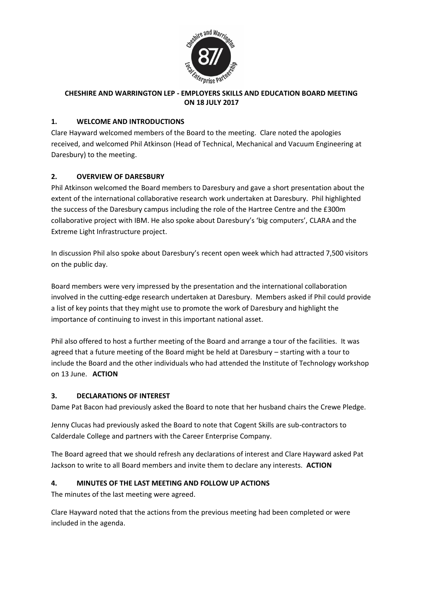

### **CHESHIRE AND WARRINGTON LEP - EMPLOYERS SKILLS AND EDUCATION BOARD MEETING ON 18 JULY 2017**

### **1. WELCOME AND INTRODUCTIONS**

Clare Hayward welcomed members of the Board to the meeting. Clare noted the apologies received, and welcomed Phil Atkinson (Head of Technical, Mechanical and Vacuum Engineering at Daresbury) to the meeting.

### **2. OVERVIEW OF DARESBURY**

Phil Atkinson welcomed the Board members to Daresbury and gave a short presentation about the extent of the international collaborative research work undertaken at Daresbury. Phil highlighted the success of the Daresbury campus including the role of the Hartree Centre and the £300m collaborative project with IBM. He also spoke about Daresbury's 'big computers', CLARA and the Extreme Light Infrastructure project.

In discussion Phil also spoke about Daresbury's recent open week which had attracted 7,500 visitors on the public day.

Board members were very impressed by the presentation and the international collaboration involved in the cutting-edge research undertaken at Daresbury. Members asked if Phil could provide a list of key points that they might use to promote the work of Daresbury and highlight the importance of continuing to invest in this important national asset.

Phil also offered to host a further meeting of the Board and arrange a tour of the facilities. It was agreed that a future meeting of the Board might be held at Daresbury – starting with a tour to include the Board and the other individuals who had attended the Institute of Technology workshop on 13 June. **ACTION** 

#### **3. DECLARATIONS OF INTEREST**

Dame Pat Bacon had previously asked the Board to note that her husband chairs the Crewe Pledge.

Jenny Clucas had previously asked the Board to note that Cogent Skills are sub-contractors to Calderdale College and partners with the Career Enterprise Company.

The Board agreed that we should refresh any declarations of interest and Clare Hayward asked Pat Jackson to write to all Board members and invite them to declare any interests. **ACTION**

# **4. MINUTES OF THE LAST MEETING AND FOLLOW UP ACTIONS**

The minutes of the last meeting were agreed.

Clare Hayward noted that the actions from the previous meeting had been completed or were included in the agenda.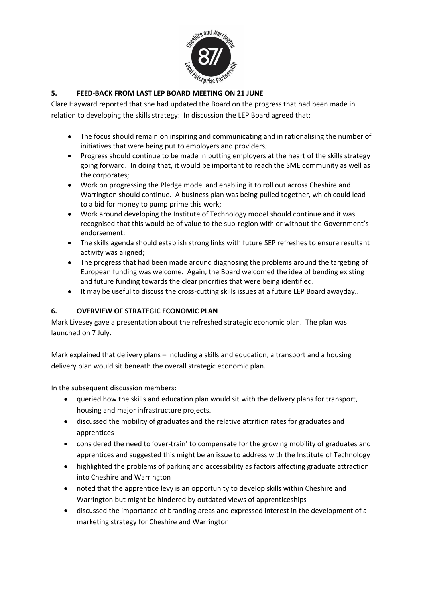

### **5. FEED-BACK FROM LAST LEP BOARD MEETING ON 21 JUNE**

Clare Hayward reported that she had updated the Board on the progress that had been made in relation to developing the skills strategy: In discussion the LEP Board agreed that:

- The focus should remain on inspiring and communicating and in rationalising the number of initiatives that were being put to employers and providers;
- Progress should continue to be made in putting employers at the heart of the skills strategy going forward. In doing that, it would be important to reach the SME community as well as the corporates;
- Work on progressing the Pledge model and enabling it to roll out across Cheshire and Warrington should continue. A business plan was being pulled together, which could lead to a bid for money to pump prime this work;
- Work around developing the Institute of Technology model should continue and it was recognised that this would be of value to the sub-region with or without the Government's endorsement;
- The skills agenda should establish strong links with future SEP refreshes to ensure resultant activity was aligned;
- The progress that had been made around diagnosing the problems around the targeting of European funding was welcome. Again, the Board welcomed the idea of bending existing and future funding towards the clear priorities that were being identified.
- It may be useful to discuss the cross-cutting skills issues at a future LEP Board awayday..

#### **6. OVERVIEW OF STRATEGIC ECONOMIC PLAN**

Mark Livesey gave a presentation about the refreshed strategic economic plan. The plan was launched on 7 July.

Mark explained that delivery plans – including a skills and education, a transport and a housing delivery plan would sit beneath the overall strategic economic plan.

In the subsequent discussion members:

- queried how the skills and education plan would sit with the delivery plans for transport, housing and major infrastructure projects.
- discussed the mobility of graduates and the relative attrition rates for graduates and apprentices
- considered the need to 'over-train' to compensate for the growing mobility of graduates and apprentices and suggested this might be an issue to address with the Institute of Technology
- highlighted the problems of parking and accessibility as factors affecting graduate attraction into Cheshire and Warrington
- noted that the apprentice levy is an opportunity to develop skills within Cheshire and Warrington but might be hindered by outdated views of apprenticeships
- discussed the importance of branding areas and expressed interest in the development of a marketing strategy for Cheshire and Warrington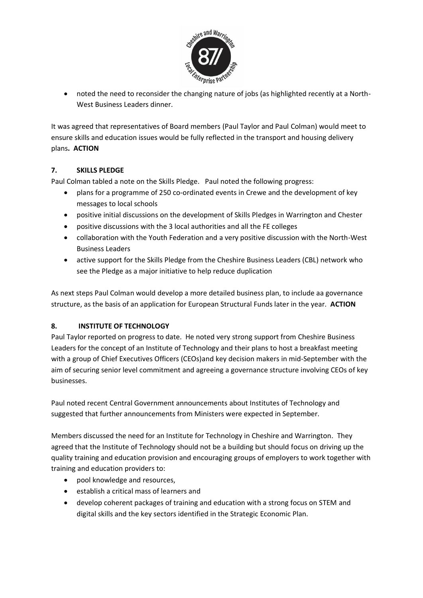

• noted the need to reconsider the changing nature of jobs (as highlighted recently at a North-West Business Leaders dinner.

It was agreed that representatives of Board members (Paul Taylor and Paul Colman) would meet to ensure skills and education issues would be fully reflected in the transport and housing delivery plans**. ACTION**

### **7. SKILLS PLEDGE**

Paul Colman tabled a note on the Skills Pledge. Paul noted the following progress:

- plans for a programme of 250 co-ordinated events in Crewe and the development of key messages to local schools
- positive initial discussions on the development of Skills Pledges in Warrington and Chester
- positive discussions with the 3 local authorities and all the FE colleges
- collaboration with the Youth Federation and a very positive discussion with the North-West Business Leaders
- active support for the Skills Pledge from the Cheshire Business Leaders (CBL) network who see the Pledge as a major initiative to help reduce duplication

As next steps Paul Colman would develop a more detailed business plan, to include aa governance structure, as the basis of an application for European Structural Funds later in the year. **ACTION**

# **8. INSTITUTE OF TECHNOLOGY**

Paul Taylor reported on progress to date. He noted very strong support from Cheshire Business Leaders for the concept of an Institute of Technology and their plans to host a breakfast meeting with a group of Chief Executives Officers (CEOs)and key decision makers in mid-September with the aim of securing senior level commitment and agreeing a governance structure involving CEOs of key businesses.

Paul noted recent Central Government announcements about Institutes of Technology and suggested that further announcements from Ministers were expected in September.

Members discussed the need for an Institute for Technology in Cheshire and Warrington. They agreed that the Institute of Technology should not be a building but should focus on driving up the quality training and education provision and encouraging groups of employers to work together with training and education providers to:

- pool knowledge and resources,
- establish a critical mass of learners and
- develop coherent packages of training and education with a strong focus on STEM and digital skills and the key sectors identified in the Strategic Economic Plan.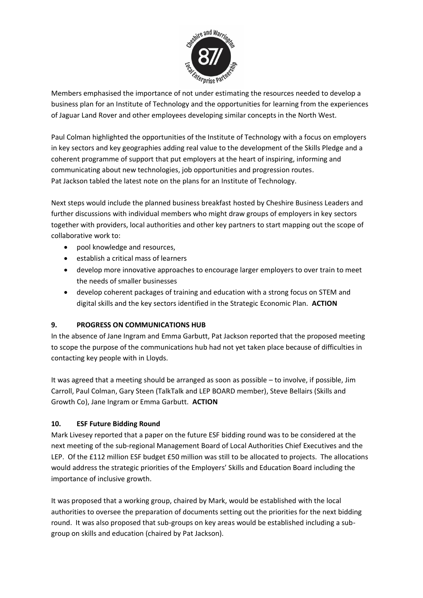

Members emphasised the importance of not under estimating the resources needed to develop a business plan for an Institute of Technology and the opportunities for learning from the experiences of Jaguar Land Rover and other employees developing similar concepts in the North West.

Paul Colman highlighted the opportunities of the Institute of Technology with a focus on employers in key sectors and key geographies adding real value to the development of the Skills Pledge and a coherent programme of support that put employers at the heart of inspiring, informing and communicating about new technologies, job opportunities and progression routes. Pat Jackson tabled the latest note on the plans for an Institute of Technology.

Next steps would include the planned business breakfast hosted by Cheshire Business Leaders and further discussions with individual members who might draw groups of employers in key sectors together with providers, local authorities and other key partners to start mapping out the scope of collaborative work to:

- pool knowledge and resources,
- establish a critical mass of learners
- develop more innovative approaches to encourage larger employers to over train to meet the needs of smaller businesses
- develop coherent packages of training and education with a strong focus on STEM and digital skills and the key sectors identified in the Strategic Economic Plan. **ACTION**

# **9. PROGRESS ON COMMUNICATIONS HUB**

In the absence of Jane Ingram and Emma Garbutt, Pat Jackson reported that the proposed meeting to scope the purpose of the communications hub had not yet taken place because of difficulties in contacting key people with in Lloyds.

It was agreed that a meeting should be arranged as soon as possible – to involve, if possible, Jim Carroll, Paul Colman, Gary Steen (TalkTalk and LEP BOARD member), Steve Bellairs (Skills and Growth Co), Jane Ingram or Emma Garbutt. **ACTION**

# **10. ESF Future Bidding Round**

Mark Livesey reported that a paper on the future ESF bidding round was to be considered at the next meeting of the sub-regional Management Board of Local Authorities Chief Executives and the LEP. Of the £112 million ESF budget £50 million was still to be allocated to projects. The allocations would address the strategic priorities of the Employers' Skills and Education Board including the importance of inclusive growth.

It was proposed that a working group, chaired by Mark, would be established with the local authorities to oversee the preparation of documents setting out the priorities for the next bidding round. It was also proposed that sub-groups on key areas would be established including a subgroup on skills and education (chaired by Pat Jackson).